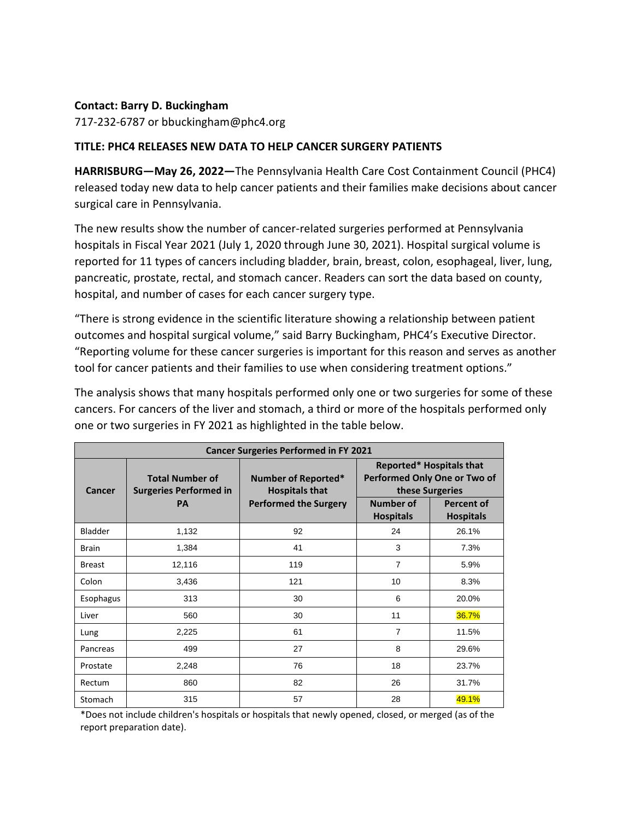## **Contact: Barry D. Buckingham**

717-232-6787 or bbuckingham@phc4.org

## **TITLE: PHC4 RELEASES NEW DATA TO HELP CANCER SURGERY PATIENTS**

**HARRISBURG—May 26, 2022—**The Pennsylvania Health Care Cost Containment Council (PHC4) released today new data to help cancer patients and their families make decisions about cancer surgical care in Pennsylvania.

The new results show the number of cancer-related surgeries performed at Pennsylvania hospitals in Fiscal Year 2021 (July 1, 2020 through June 30, 2021). Hospital surgical volume is reported for 11 types of cancers including bladder, brain, breast, colon, esophageal, liver, lung, pancreatic, prostate, rectal, and stomach cancer. Readers can sort the data based on county, hospital, and number of cases for each cancer surgery type.

"There is strong evidence in the scientific literature showing a relationship between patient outcomes and hospital surgical volume," said Barry Buckingham, PHC4's Executive Director. "Reporting volume for these cancer surgeries is important for this reason and serves as another tool for cancer patients and their families to use when considering treatment options."

The analysis shows that many hospitals performed only one or two surgeries for some of these cancers. For cancers of the liver and stomach, a third or more of the hospitals performed only one or two surgeries in FY 2021 as highlighted in the table below.

| <b>Cancer Surgeries Performed in FY 2021</b> |                                                         |                                              |                                                                             |                                       |
|----------------------------------------------|---------------------------------------------------------|----------------------------------------------|-----------------------------------------------------------------------------|---------------------------------------|
| Cancer                                       | <b>Total Number of</b><br><b>Surgeries Performed in</b> | Number of Reported*<br><b>Hospitals that</b> | Reported* Hospitals that<br>Performed Only One or Two of<br>these Surgeries |                                       |
|                                              | <b>PA</b>                                               | <b>Performed the Surgery</b>                 | Number of<br><b>Hospitals</b>                                               | <b>Percent of</b><br><b>Hospitals</b> |
| Bladder                                      | 1,132                                                   | 92                                           | 24                                                                          | 26.1%                                 |
| <b>Brain</b>                                 | 1,384                                                   | 41                                           | 3                                                                           | 7.3%                                  |
| <b>Breast</b>                                | 12,116                                                  | 119                                          | 7                                                                           | 5.9%                                  |
| Colon                                        | 3,436                                                   | 121                                          | 10                                                                          | 8.3%                                  |
| Esophagus                                    | 313                                                     | 30                                           | 6                                                                           | 20.0%                                 |
| Liver                                        | 560                                                     | 30                                           | 11                                                                          | 36.7%                                 |
| Lung                                         | 2,225                                                   | 61                                           | 7                                                                           | 11.5%                                 |
| Pancreas                                     | 499                                                     | 27                                           | 8                                                                           | 29.6%                                 |
| Prostate                                     | 2,248                                                   | 76                                           | 18                                                                          | 23.7%                                 |
| Rectum                                       | 860                                                     | 82                                           | 26                                                                          | 31.7%                                 |
| Stomach                                      | 315                                                     | 57                                           | 28                                                                          | 49.1%                                 |

\*Does not include children's hospitals or hospitals that newly opened, closed, or merged (as of the report preparation date).